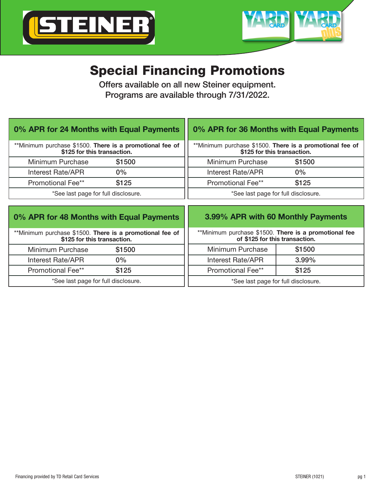



## Special Financing Promotions

Offers available on all new Steiner equipment. Programs are available through 7/31/2022.

| 0% APR for 24 Months with Equal Payments                                                |        | 0% APR for 36 Months with Equal Payments                                                |        |
|-----------------------------------------------------------------------------------------|--------|-----------------------------------------------------------------------------------------|--------|
| **Minimum purchase \$1500. There is a promotional fee of<br>\$125 for this transaction. |        | **Minimum purchase \$1500. There is a promotional fee of<br>\$125 for this transaction. |        |
| Minimum Purchase                                                                        | \$1500 | Minimum Purchase                                                                        | \$1500 |
| Interest Rate/APR                                                                       | $0\%$  | <b>Interest Rate/APR</b>                                                                | $0\%$  |
| <b>Promotional Fee**</b>                                                                | \$125  | <b>Promotional Fee**</b>                                                                | \$125  |
| *See last page for full disclosure.                                                     |        | *See last page for full disclosure.                                                     |        |
| 0% APR for 48 Months with Equal Payments                                                |        | 3.99% APR with 60 Monthly Payments                                                      |        |
| **Minimum purchase \$1500. There is a promotional fee of<br>\$125 for this transaction. |        | **Minimum purchase \$1500. There is a promotional fee<br>of \$125 for this transaction. |        |
| Minimum Purchase                                                                        | \$1500 | Minimum Purchase                                                                        | \$1500 |
| Interest Rate/APR                                                                       | $0\%$  | <b>Interest Rate/APR</b>                                                                | 3.99%  |
| Promotional Fee**                                                                       | \$125  | <b>Promotional Fee**</b>                                                                | \$125  |
| *See last page for full disclosure.                                                     |        | *See last page for full disclosure.                                                     |        |